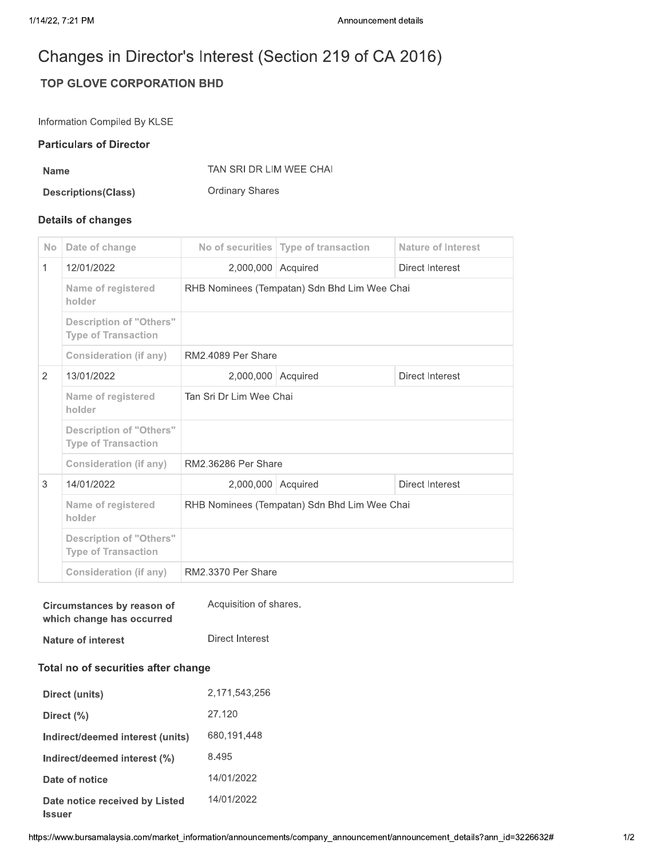**Name** 

# Changes in Director's Interest (Section 219 of CA 2016)

## **TOP GLOVE CORPORATION BHD**

Information Compiled By KLSE

### **Particulars of Director**

|  | TAN SRI DR LIM WEE CHAI |  |  |
|--|-------------------------|--|--|
|  |                         |  |  |

Ordinary Shares **Descriptions(Class)** 

#### **Details of changes**

| <b>No</b>    | Date of change                                               |                                              | No of securities   Type of transaction | <b>Nature of Interest</b> |  |
|--------------|--------------------------------------------------------------|----------------------------------------------|----------------------------------------|---------------------------|--|
| $\mathbf{1}$ | 12/01/2022                                                   | 2,000,000 Acquired                           |                                        | Direct Interest           |  |
|              | Name of registered<br>holder                                 | RHB Nominees (Tempatan) Sdn Bhd Lim Wee Chai |                                        |                           |  |
|              | <b>Description of "Others"</b><br><b>Type of Transaction</b> |                                              |                                        |                           |  |
|              | <b>Consideration (if any)</b>                                | RM2.4089 Per Share                           |                                        |                           |  |
| 2            | 13/01/2022                                                   | 2,000,000 Acquired                           |                                        | Direct Interest           |  |
|              | Name of registered<br>holder                                 | Tan Sri Dr Lim Wee Chai                      |                                        |                           |  |
|              | <b>Description of "Others"</b><br><b>Type of Transaction</b> |                                              |                                        |                           |  |
|              | <b>Consideration (if any)</b>                                | RM2.36286 Per Share                          |                                        |                           |  |
| 3            | 14/01/2022                                                   | 2,000,000 Acquired                           |                                        | Direct Interest           |  |
|              | Name of registered<br>holder                                 | RHB Nominees (Tempatan) Sdn Bhd Lim Wee Chai |                                        |                           |  |
|              | <b>Description of "Others"</b><br><b>Type of Transaction</b> |                                              |                                        |                           |  |
|              | <b>Consideration (if any)</b>                                | RM2.3370 Per Share                           |                                        |                           |  |

| Circumstances by reason of | Acquisition of shares. |
|----------------------------|------------------------|
| which change has occurred  |                        |
|                            |                        |

**Nature of interest** 

Direct Interest

### Total no of securities after change

| Direct (units)                           | 2.171.543.256 |
|------------------------------------------|---------------|
| Direct $(\% )$                           | 27.120        |
| Indirect/deemed interest (units)         | 680,191,448   |
| Indirect/deemed interest (%)             | 8 495         |
| Date of notice                           | 14/01/2022    |
| Date notice received by Listed<br>Issuer | 14/01/2022    |